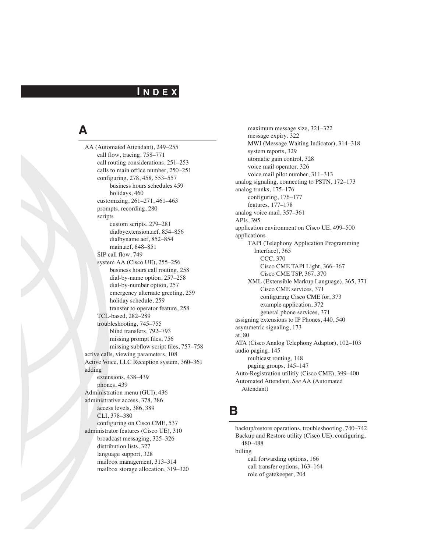### **I N D E X**

# **A**

AA (Automated Attendant), 249–255 call flow, tracing, 758–771 call routing considerations, 251–253 calls to main office number, 250–251 configuring, 278, 458, 553–557 business hours schedules 459 holidays, 460 customizing, 261–271, 461–463 prompts, recording, 280 scripts custom scripts, 279–281 dialbyextension.aef, 854–856 dialbyname.aef, 852–854 main.aef, 848–851 SIP call flow, 749 system AA (Cisco UE), 255–256 business hours call routing, 258 dial-by-name option, 257–258 dial-by-number option, 257 emergency alternate greeting, 259 holiday schedule, 259 transfer to operator feature, 258 TCL-based, 282–289 troubleshooting, 745–755 blind transfers, 792–793 missing prompt files, 756 missing subflow script files, 757–758 active calls, viewing parameters, 108 Active Voice, LLC Reception system, 360–361 adding extensions, 438–439 phones, 439 Administration menu (GUI), 436 administrative access, 378, 386 access levels, 386, 389 CLI, 378–380 configuring on Cisco CME, 537 administrator features (Cisco UE), 310 broadcast messaging, 325–326 distribution lists, 327 language support, 328 mailbox management, 313–314 mailbox storage allocation, 319–320

maximum message size, 321–322 message expiry, 322 MWI (Message Waiting Indicator), 314–318 system reports, 329 utomatic gain control, 328 voice mail operator, 326 voice mail pilot number, 311–313 analog signaling, connecting to PSTN, 172–173 analog trunks, 175–176 configuring, 176–177 features, 177–178 analog voice mail, 357–361 APIs, 395 application environment on Cisco UE, 499–500 applications TAPI (Telephony Application Programming Interface), 365 CCC, 370 Cisco CME TAPI Light, 366–367 Cisco CME TSP, 367, 370 XML (Extensible Markup Language), 365, 371 Cisco CME services, 371 configuring Cisco CME for, 373 example application, 372 general phone services, 371 assigning extensions to IP Phones, 440, 540 asymmetric signaling, 173 at, 80 ATA (Cisco Analog Telephony Adaptor), 102–103 audio paging, 145 multicast routing, 148 paging groups, 145–147 Auto-Registration utilitiy (Cisco CME), 399–400 Automated Attendant. *See* AA (Automated Attendant)

#### **B**

backup/restore operations, troubleshooting, 740–742 Backup and Restore utility (Cisco UE), configuring, 480–488 billing call forwarding options, 166 call transfer options, 163–164 role of gatekeeper, 204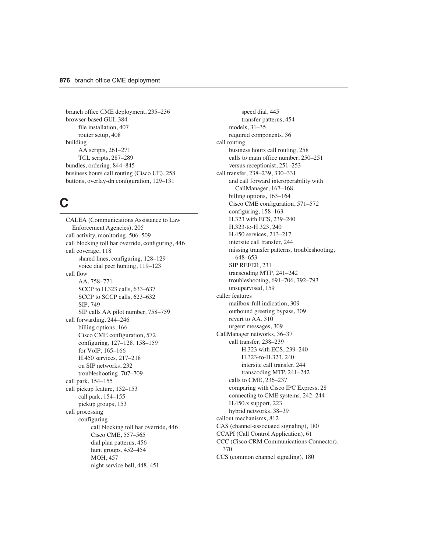branch office CME deployment, 235–236 browser-based GUI, 384 file installation, 407 router setup, 408 building AA scripts, 261–271 TCL scripts, 287–289 bundles, ordering, 844–845 business hours call routing (Cisco UE), 258 buttons, overlay-dn configuration, 129–131

# **C**

CALEA (Communications Assistance to Law Enforcement Agencies), 205 call activity, monitoring, 506–509 call blocking toll bar override, configuring, 446 call coverage, 118 shared lines, configuring, 128–129 voice dial peer hunting, 119–123 call flow AA, 758–771 SCCP to H.323 calls, 633–637 SCCP to SCCP calls, 623–632 SIP, 749 SIP calls AA pilot number, 758–759 call forwarding, 244–246 billing options, 166 Cisco CME configuration, 572 configuring, 127–128, 158–159 for VoIP, 165–166 H.450 services, 217–218 on SIP networks, 232 troubleshooting, 707–709 call park, 154–155 call pickup feature, 152–153 call park, 154–155 pickup groups, 153 call processing configuring call blocking toll bar override, 446 Cisco CME, 557–565 dial plan patterns, 456 hunt groups, 452–454 MOH, 457 night service bell, 448, 451

speed dial, 445 transfer patterns, 454 models, 31–35 required components, 36 call routing business hours call routing, 258 calls to main office number, 250–251 versus receptionist, 251–253 call transfer, 238–239, 330–331 and call forward interoperability with CallManager, 167–168 billing options, 163–164 Cisco CME configuration, 571–572 configuring, 158–163 H.323 with ECS, 239–240 H.323-to-H.323, 240 H.450 services, 213–217 intersite call transfer, 244 missing transfer patterns, troubleshooting, 648–653 SIP REFER, 231 transcoding MTP, 241–242 troubleshooting, 691–706, 792–793 unsupervised, 159 caller features mailbox-full indication, 309 outbound greeting bypass, 309 revert to AA, 310 urgent messages, 309 CallManager networks, 36–37 call transfer, 238–239 H.323 with ECS, 239–240 H.323-to-H.323, 240 intersite call transfer, 244 transcoding MTP, 241–242 calls to CME, 236–237 comparing with Cisco IPC Express, 28 connecting to CME systems, 242–244 H.450.x support, 223 hybrid networks, 38–39 callout mechanisms, 812 CAS (channel-associated signaling), 180 CCAPI (Call Control Application), 61 CCC (Cisco CRM Communications Connector), 370 CCS (common channel signaling), 180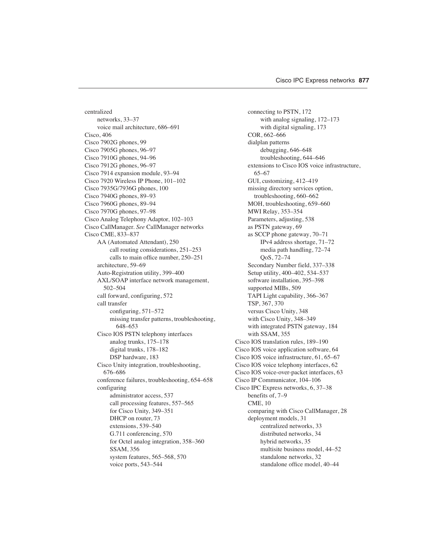centralized networks, 33–37 voice mail architecture, 686–691 Cisco, 406 Cisco 7902G phones, 99 Cisco 7905G phones, 96–97 Cisco 7910G phones, 94–96 Cisco 7912G phones, 96–97 Cisco 7914 expansion module, 93–94 Cisco 7920 Wireless IP Phone, 101–102 Cisco 7935G/7936G phones, 100 Cisco 7940G phones, 89–93 Cisco 7960G phones, 89–94 Cisco 7970G phones, 97–98 Cisco Analog Telephony Adaptor, 102–103 Cisco CallManager. *See* CallManager networks Cisco CME, 833–837 AA (Automated Attendant), 250 call routing considerations, 251–253 calls to main office number, 250–251 architecture, 59–69 Auto-Registration utility, 399–400 AXL/SOAP interface network management, 502–504 call forward, configuring, 572 call transfer configuring, 571–572 missing transfer patterns, troubleshooting, 648–653 Cisco IOS PSTN telephony interfaces analog trunks, 175–178 digital trunks, 178–182 DSP hardware, 183 Cisco Unity integration, troubleshooting, 676–686 conference failures, troubleshooting, 654–658 configuring administrator access, 537 call processing features, 557–565 for Cisco Unity, 349–351 DHCP on router, 73 extensions, 539–540 G.711 conferencing, 570 for Octel analog integration, 358–360 SSAM, 356 system features, 565–568, 570 voice ports, 543–544

connecting to PSTN, 172 with analog signaling, 172–173 with digital signaling, 173 COR, 662–666 dialplan patterns debugging, 646–648 troubleshooting, 644–646 extensions to Cisco IOS voice infrastructure, 65–67 GUI, customizing, 412–419 missing directory services option, troubleshooting, 660–662 MOH, troubleshooting, 659–660 MWI Relay, 353–354 Parameters, adjusting, 538 as PSTN gateway, 69 as SCCP phone gateway, 70–71 IPv4 address shortage, 71–72 media path handling, 72–74 QoS, 72–74 Secondary Number field, 337–338 Setup utility, 400–402, 534–537 software installation, 395–398 supported MIBs, 509 TAPI Light capability, 366–367 TSP, 367, 370 versus Cisco Unity, 348 with Cisco Unity, 348–349 with integrated PSTN gateway, 184 with SSAM, 355 Cisco IOS translation rules, 189–190 Cisco IOS voice application software, 64 Cisco IOS voice infrastructure, 61, 65–67 Cisco IOS voice telephony interfaces, 62 Cisco IOS voice-over-packet interfaces, 63 Cisco IP Communicator, 104–106 Cisco IPC Express networks, 6, 37–38 benefits of, 7–9 CME, 10 comparing with Cisco CallManager, 28 deployment models, 31 centralized networks, 33 distributed networks, 34 hybrid networks, 35 multisite business model, 44–52 standalone networks, 32 standalone office model, 40–44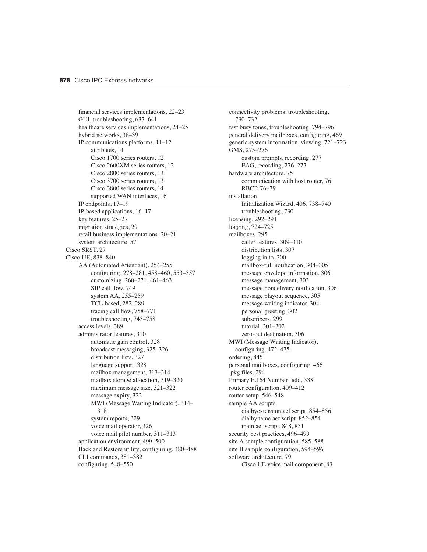financial services implementations, 22–23 GUI, troubleshooting, 637–641 healthcare services implementations, 24–25 hybrid networks, 38–39 IP communications platforms, 11–12 attributes, 14 Cisco 1700 series routers, 12 Cisco 2600XM series routers, 12 Cisco 2800 series routers, 13 Cisco 3700 series routers, 13 Cisco 3800 series routers, 14 supported WAN interfaces, 16 IP endpoints, 17–19 IP-based applications, 16–17 key features, 25–27 migration strategies, 29 retail business implementations, 20–21 system architecture, 57 Cisco SRST, 27 Cisco UE, 838–840 AA (Automated Attendant), 254–255 configuring, 278–281, 458–460, 553–557 customizing, 260–271, 461–463 SIP call flow, 749 system AA, 255–259 TCL-based, 282–289 tracing call flow, 758–771 troubleshooting, 745–758 access levels, 389 administrator features, 310 automatic gain control, 328 broadcast messaging, 325–326 distribution lists, 327 language support, 328 mailbox management, 313–314 mailbox storage allocation, 319–320 maximum message size, 321–322 message expiry, 322 MWI (Message Waiting Indicator), 314– 318 system reports, 329 voice mail operator, 326 voice mail pilot number, 311–313 application environment, 499–500 Back and Restore utility, configuring, 480–488 CLI commands, 381–382 configuring, 548–550

connectivity problems, troubleshooting, 730–732 fast busy tones, troubleshooting, 794–796 general delivery mailboxes, configuring, 469 generic system information, viewing, 721–723 GMS, 275–276 custom prompts, recording, 277 EAG, recording, 276–277 hardware architecture, 75 communication with host router, 76 RBCP, 76–79 installation Initialization Wizard, 406, 738–740 troubleshooting, 730 licensing, 292–294 logging, 724–725 mailboxes, 295 caller features, 309–310 distribution lists, 307 logging in to, 300 mailbox-full notification, 304–305 message envelope information, 306 message management, 303 message nondelivery notification, 306 message playout sequence, 305 message waiting indicator, 304 personal greeting, 302 subscribers, 299 tutorial, 301–302 zero-out destination, 306 MWI (Message Waiting Indicator), configuring, 472–475 ordering, 845 personal mailboxes, configuring, 466 .pkg files, 294 Primary E.164 Number field, 338 router configuration, 409–412 router setup, 546–548 sample AA scripts dialbyextension.aef script, 854–856 dialbyname.aef script, 852–854 main.aef script, 848, 851 security best practices, 496–499 site A sample configuration, 585–588 site B sample configuration, 594–596 software architecture, 79 Cisco UE voice mail component, 83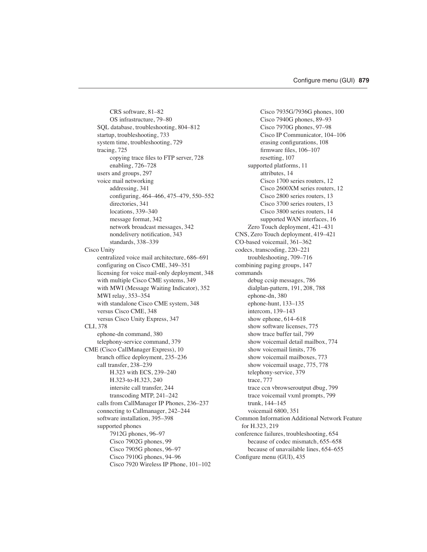CRS software, 81–82 OS infrastructure, 79–80 SQL database, troubleshooting, 804–812 startup, troubleshooting, 733 system time, troubleshooting, 729 tracing, 725 copying trace files to FTP server, 728 enabling, 726–728 users and groups, 297 voice mail networking addressing, 341 configuring, 464–466, 475–479, 550–552 directories, 341 locations, 339–340 message format, 342 network broadcast messages, 342 nondelivery notification, 343 standards, 338–339 Cisco Unity centralized voice mail architecture, 686–691 configuring on Cisco CME, 349–351 licensing for voice mail-only deployment, 348 with multiple Cisco CME systems, 349 with MWI (Message Waiting Indicator), 352 MWI relay, 353–354 with standalone Cisco CME system, 348 versus Cisco CME, 348 versus Cisco Unity Express, 347 CLI, 378 ephone-dn command, 380 telephony-service command, 379 CME (Cisco CallManager Express), 10 branch office deployment, 235–236 call transfer, 238–239 H.323 with ECS, 239–240 H.323-to-H.323, 240 intersite call transfer, 244 transcoding MTP, 241–242 calls from CallManager IP Phones, 236–237 connecting to Callmanager, 242–244 software installation, 395–398 supported phones 7912G phones, 96–97 Cisco 7902G phones, 99 Cisco 7905G phones, 96–97 Cisco 7910G phones, 94–96 Cisco 7920 Wireless IP Phone, 101–102

Cisco 7935G/7936G phones, 100 Cisco 7940G phones, 89–93 Cisco 7970G phones, 97–98 Cisco IP Communicator, 104–106 erasing configurations, 108 firmware files, 106–107 resetting, 107 supported platforms, 11 attributes, 14 Cisco 1700 series routers, 12 Cisco 2600XM series routers, 12 Cisco 2800 series routers, 13 Cisco 3700 series routers, 13 Cisco 3800 series routers, 14 supported WAN interfaces, 16 Zero Touch deployment, 421–431 CNS, Zero Touch deployment, 419–421 CO-based voicemail, 361–362 codecs, transcoding, 220–221 troubleshooting, 709–716 combining paging groups, 147 commands debug ccsip messages, 786 dialplan-pattern, 191, 208, 788 ephone-dn, 380 ephone-hunt, 133–135 intercom, 139–143 show ephone, 614–618 show software licenses, 775 show trace buffer tail, 799 show voicemail detail mailbox, 774 show voicemail limits, 776 show voicemail mailboxes, 773 show voicemail usage, 775, 778 telephony-service, 379 trace, 777 trace ccn vbrowseroutput dbug, 799 trace voicemail vxml prompts, 799 trunk, 144–145 voicemail 6800, 351 Common Information Additional Network Feature for H.323, 219 conference failures, troubleshooting, 654 because of codec mismatch, 655–658 because of unavailable lines, 654–655 Configure menu (GUI), 435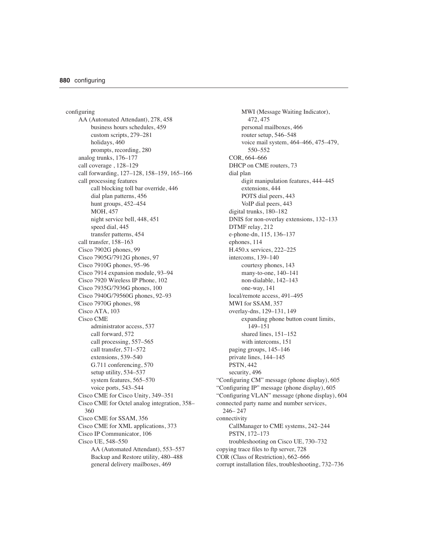configuring AA (Automated Attendant), 278, 458 business hours schedules, 459 custom scripts, 279–281 holidays, 460 prompts, recording, 280 analog trunks, 176–177 call coverage , 128–129 call forwarding, 127–128, 158–159, 165–166 call processing features call blocking toll bar override, 446 dial plan patterns, 456 hunt groups, 452–454 MOH, 457 night service bell, 448, 451 speed dial, 445 transfer patterns, 454 call transfer, 158–163 Cisco 7902G phones, 99 Cisco 7905G/7912G phones, 97 Cisco 7910G phones, 95–96 Cisco 7914 expansion module, 93–94 Cisco 7920 Wireless IP Phone, 102 Cisco 7935G/7936G phones, 100 Cisco 7940G/79560G phones, 92–93 Cisco 7970G phones, 98 Cisco ATA, 103 Cisco CME administrator access, 537 call forward, 572 call processing, 557–565 call transfer, 571–572 extensions, 539–540 G.711 conferencing, 570 setup utility, 534–537 system features, 565–570 voice ports, 543–544 Cisco CME for Cisco Unity, 349–351 Cisco CME for Octel analog integration, 358– 360 Cisco CME for SSAM, 356 Cisco CME for XML applications, 373 Cisco IP Communicator, 106 Cisco UE, 548–550 AA (Automated Attendant), 553–557 Backup and Restore utility, 480–488 general delivery mailboxes, 469

MWI (Message Waiting Indicator), 472, 475 personal mailboxes, 466 router setup, 546–548 voice mail system, 464–466, 475–479, 550–552 COR, 664–666 DHCP on CME routers, 73 dial plan digit manipulation features, 444–445 extensions, 444 POTS dial peers, 443 VoIP dial peers, 443 digital trunks, 180–182 DNIS for non-overlay extensions, 132–133 DTMF relay, 212 e-phone-dn, 115, 136–137 ephones, 114 H.450.x services, 222–225 intercoms, 139–140 courtesy phones, 143 many-to-one, 140–141 non-dialable, 142–143 one-way, 141 local/remote access, 491–495 MWI for SSAM, 357 overlay-dns, 129–131, 149 expanding phone button count limits, 149–151 shared lines, 151–152 with intercoms, 151 paging groups, 145–146 private lines, 144–145 PSTN, 442 security, 496 "Configuring CM" message (phone display), 605 "Configuring IP" message (phone display), 605 "Configuring VLAN" message (phone display), 604 connected party name and number services, 246– 247 connectivity CallManager to CME systems, 242–244 PSTN, 172–173 troubleshooting on Cisco UE, 730–732 copying trace files to ftp server, 728 COR (Class of Restriction), 662–666 corrupt installation files, troubleshooting, 732–736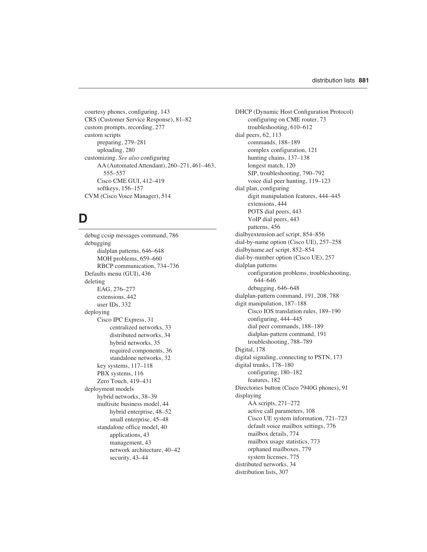courtesy phones, configuring, 143 CRS (Customer Service Response), 81–82 custom prompts, recording, 277 custom scripts preparing, 279–281 uploading, 280 customizing. *See also* configuring AA (Automated Attendant), 260–271, 461–463, 555–557 Cisco CME GUI, 412–419 softkeys, 156–157 CVM (Cisco Voice Manager), 514

### **D**

debug ccsip messages command, 786 debugging dialplan patterns, 646–648 MOH problems, 659–660 RBCP communication, 734–736 Defaults menu (GUI), 436 deleting EAG, 276–277 extensions, 442 user IDs, 332 deploying Cisco IPC Express, 31 centralized networks, 33 distributed networks, 34 hybrid networks, 35 required components, 36 standalone networks, 32 key systems, 117–118 PBX systems, 116 Zero Touch, 419–431 deployment models hybrid networks, 38–39 multisite business model, 44 hybrid enterprise, 48–52 small enterprise, 45–48 standalone office model, 40 applications, 43 management, 43 network architecture, 40–42 security, 43–44

DHCP (Dynamic Host Configuration Protocol) configuring on CME router, 73 troubleshooting, 610–612 dial peers, 62, 113 commands, 188–189 complex configuration, 121 hunting chains, 137–138 longest match, 120 SIP, troubleshooting, 790–792 voice dial peer hunting, 119–123 dial plan, configuring digit manipulation features, 444–445 extensions, 444 POTS dial peers, 443 VoIP dial peers, 443 patterns, 456 dialbyextension.aef script, 854–856 dial-by-name option (Cisco UE), 257–258 dialbyname.aef script, 852–854 dial-by-number option (Cisco UE), 257 dialplan patterns configuration problems, troubleshooting, 644–646 debugging, 646–648 dialplan-pattern command, 191, 208, 788 digit manipulation, 187–188 Cisco IOS translation rules, 189–190 configuring, 444–445 dial peer commands, 188–189 dialplan-pattern command, 191 troubleshooting, 788–789 Digital, 178 digital signaling, connecting to PSTN, 173 digital trunks, 178–180 configuring, 180–182 features, 182 Directories button (Cisco 7940G phones), 91 displaying AA scripts, 271–272 active call parameters, 108 Cisco UE system information, 721–723 default voice mailbox settings, 776 mailbox details, 774 mailbox usage statistics, 773 orphaned mailboxes, 779 system licenses, 775 distributed networks, 34 distribution lists, 307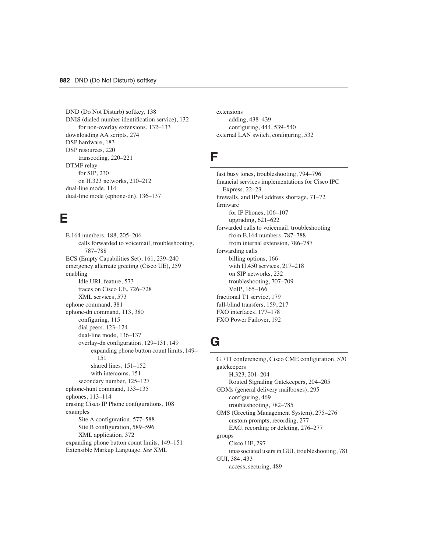DND (Do Not Disturb) softkey, 138 DNIS (dialed number identification service), 132 for non-overlay extensions, 132–133 downloading AA scripts, 274 DSP hardware, 183 DSP resources, 220 transcoding, 220–221 DTMF relay for SIP, 230 on H.323 networks, 210–212 dual-line mode, 114 dual-line mode (ephone-dn), 136–137

### **E**

E.164 numbers, 188, 205–206 calls forwarded to voicemail, troubleshooting, 787–788 ECS (Empty Capabilities Set), 161, 239–240 emergency alternate greeting (Cisco UE), 259 enabling Idle URL feature, 573 traces on Cisco UE, 726–728 XML services, 573 ephone command, 381 ephone-dn command, 113, 380 configuring, 115 dial peers, 123–124 dual-line mode, 136–137 overlay-dn configuration, 129–131, 149 expanding phone button count limits, 149– 151 shared lines, 151–152 with intercoms, 151 secondary number, 125–127 ephone-hunt command, 133–135 ephones, 113–114 erasing Cisco IP Phone configurations, 108 examples Site A configuration, 577–588 Site B configuration, 589–596 XML application, 372 expanding phone button count limits, 149–151 Extensible Markup Language. *See* XML

extensions adding, 438–439 configuring, 444, 539–540 external LAN switch, configuring, 532

#### **F**

fast busy tones, troubleshooting, 794–796 financial services implementations for Cisco IPC Express, 22–23 firewalls, and IPv4 address shortage, 71–72 firmware for IP Phones, 106–107 upgrading, 621–622 forwarded calls to voicemail, troubleshooting from E.164 numbers, 787–788 from internal extension, 786–787 forwarding calls billing options, 166 with H.450 services, 217–218 on SIP networks, 232 troubleshooting, 707–709 VoIP, 165–166 fractional T1 service, 179 full-blind transfers, 159, 217 FXO interfaces, 177–178 FXO Power Failover, 192

#### **G**

G.711 conferencing, Cisco CME configuration, 570 gatekeepers H.323, 201–204 Routed Signaling Gatekeepers, 204–205 GDMs (general delivery mailboxes), 295 configuring, 469 troubleshooting, 782–785 GMS (Greeting Management System), 275–276 custom prompts, recording, 277 EAG, recording or deleting, 276–277 groups Cisco UE, 297 unassociated users in GUI, troubleshooting, 781 GUI, 384, 433 access, securing, 489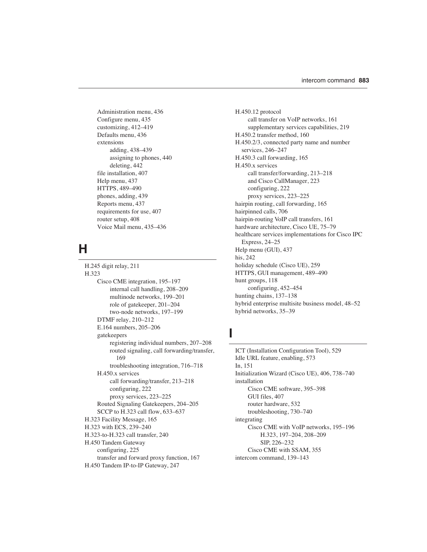Administration menu, 436 Configure menu, 435 customizing, 412–419 Defaults menu, 436 extensions adding, 438–439 assigning to phones, 440 deleting, 442 file installation, 407 Help menu, 437 HTTPS, 489–490 phones, adding, 439 Reports menu, 437 requirements for use, 407 router setup, 408 Voice Mail menu, 435–436

## **H**

H.245 digit relay, 211 H.323 Cisco CME integration, 195–197 internal call handling, 208–209 multinode networks, 199–201 role of gatekeeper, 201–204 two-node networks, 197–199 DTMF relay, 210–212 E.164 numbers, 205–206 gatekeepers registering individual numbers, 207–208 routed signaling, call forwarding/transfer, 169 troubleshooting integration, 716–718 H.450.x services call forwarding/transfer, 213–218 configuring, 222 proxy services, 223–225 Routed Signaling Gatekeepers, 204–205 SCCP to H.323 call flow, 633–637 H.323 Facility Message, 165 H.323 with ECS, 239–240 H.323-to-H.323 call transfer, 240 H.450 Tandem Gateway configuring, 225 transfer and forward proxy function, 167 H.450 Tandem IP-to-IP Gateway, 247

H.450.12 protocol call transfer on VoIP networks, 161 supplementary services capabilities, 219 H.450.2 transfer method, 160 H.450.2/3, connected party name and number services, 246–247 H.450.3 call forwarding, 165 H.450.x services call transfer/forwarding, 213–218 and Cisco CallManager, 223 configuring, 222 proxy services, 223–225 hairpin routing, call forwarding, 165 hairpinned calls, 706 hairpin-routing VoIP call transfers, 161 hardware architecture, Cisco UE, 75–79 healthcare services implementations for Cisco IPC Express, 24–25 Help menu (GUI), 437 his, 242 holiday schedule (Cisco UE), 259 HTTPS, GUI management, 489–490 hunt groups, 118 configuring, 452–454 hunting chains, 137–138 hybrid enterprise multisite business model, 48–52 hybrid networks, 35–39

#### **I**

ICT (Installation Configuration Tool), 529 Idle URL feature, enabling, 573 In, 151 Initialization Wizard (Cisco UE), 406, 738–740 installation Cisco CME software, 395–398 GUI files, 407 router hardware, 532 troubleshooting, 730–740 integrating Cisco CME with VoIP networks, 195–196 H.323, 197–204, 208–209 SIP, 226–232 Cisco CME with SSAM, 355 intercom command, 139–143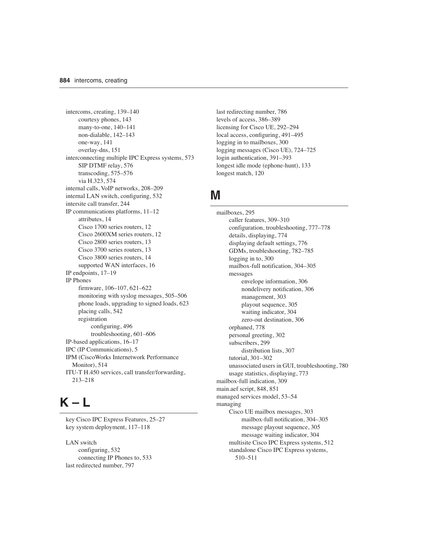intercoms, creating, 139–140 courtesy phones, 143 many-to-one, 140–141 non-dialable, 142–143 one-way, 141 overlay-dns, 151 interconnecting multiple IPC Express systems, 573 SIP DTMF relay, 576 transcoding, 575–576 via H.323, 574 internal calls, VoIP networks, 208–209 internal LAN switch, configuring, 532 intersite call transfer, 244 IP communications platforms, 11–12 attributes, 14 Cisco 1700 series routers, 12 Cisco 2600XM series routers, 12 Cisco 2800 series routers, 13 Cisco 3700 series routers, 13 Cisco 3800 series routers, 14 supported WAN interfaces, 16 IP endpoints, 17–19 IP Phones firmware, 106–107, 621–622 monitoring with syslog messages, 505–506 phone loads, upgrading to signed loads, 623 placing calls, 542 registration configuring, 496 troubleshooting, 601–606 IP-based applications, 16–17 IPC (IP Communications), 5 IPM (CiscoWorks Internetwork Performance Monitor), 514 ITU-T H.450 services, call transfer/forwarding, 213–218

# **K – L**

key Cisco IPC Express Features, 25–27 key system deployment, 117–118

LAN switch configuring, 532 connecting IP Phones to, 533 last redirected number, 797

last redirecting number, 786 levels of access, 386–389 licensing for Cisco UE, 292–294 local access, configuring, 491–495 logging in to mailboxes, 300 logging messages (Cisco UE), 724–725 login authentication, 391–393 longest idle mode (ephone-hunt), 133 longest match, 120

#### **M**

mailboxes, 295 caller features, 309–310 configuration, troubleshooting, 777–778 details, displaying, 774 displaying default settings, 776 GDMs, troubleshooting, 782–785 logging in to, 300 mailbox-full notification, 304–305 messages envelope information, 306 nondelivery notification, 306 management, 303 playout sequence, 305 waiting indicator, 304 zero-out destination, 306 orphaned, 778 personal greeting, 302 subscribers, 299 distribution lists, 307 tutorial, 301–302 unassociated users in GUI, troubleshooting, 780 usage statistics, displaying, 773 mailbox-full indication, 309 main.aef script, 848, 851 managed services model, 53–54 managing Cisco UE mailbox messages, 303 mailbox-full notification, 304–305 message playout sequence, 305 message waiting indicator, 304 multisite Cisco IPC Express systems, 512 standalone Cisco IPC Express systems, 510–511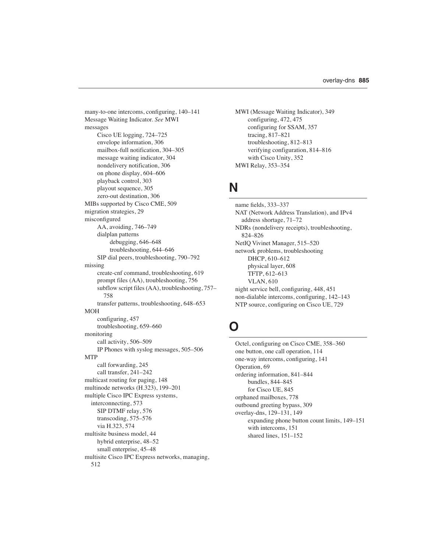many-to-one intercoms, configuring, 140–141 Message Waiting Indicator. *See* MWI messages Cisco UE logging, 724–725 envelope information, 306 mailbox-full notification, 304–305 message waiting indicator, 304 nondelivery notification, 306 on phone display, 604–606 playback control, 303 playout sequence, 305 zero-out destination, 306 MIBs supported by Cisco CME, 509 migration strategies, 29 misconfigured AA, avoiding, 746–749 dialplan patterns debugging, 646–648 troubleshooting, 644–646 SIP dial peers, troubleshooting, 790–792 missing create-cnf command, troubleshooting, 619 prompt files (AA), troubleshooting, 756 subflow script files (AA), troubleshooting, 757– 758 transfer patterns, troubleshooting, 648–653 MOH configuring, 457 troubleshooting, 659–660 monitoring call activity, 506–509 IP Phones with syslog messages, 505–506 MTP call forwarding, 245 call transfer, 241–242 multicast routing for paging, 148 multinode networks (H.323), 199–201 multiple Cisco IPC Express systems, interconnecting, 573 SIP DTMF relay, 576 transcoding, 575–576 via H.323, 574 multisite business model, 44 hybrid enterprise, 48–52 small enterprise, 45–48 multisite Cisco IPC Express networks, managing, 512

```
MWI (Message Waiting Indicator), 349
    configuring, 472, 475
    configuring for SSAM, 357
    tracing, 817–821
    troubleshooting, 812–813
    verifying configuration, 814–816
    with Cisco Unity, 352
MWI Relay, 353–354
```
### **N**

name fields, 333–337 NAT (Network Address Translation), and IPv4 address shortage, 71–72 NDRs (nondelivery receipts), troubleshooting, 824–826 NetIQ Vivinet Manager, 515–520 network problems, troubleshooting DHCP, 610–612 physical layer, 608 TFTP, 612–613 VLAN, 610 night service bell, configuring, 448, 451 non-dialable intercoms, configuring, 142–143 NTP source, configuring on Cisco UE, 729

## **O**

Octel, configuring on Cisco CME, 358–360 one button, one call operation, 114 one-way intercoms, configuring, 141 Operation, 69 ordering information, 841–844 bundles, 844–845 for Cisco UE, 845 orphaned mailboxes, 778 outbound greeting bypass, 309 overlay-dns, 129–131, 149 expanding phone button count limits, 149–151 with intercoms, 151 shared lines, 151–152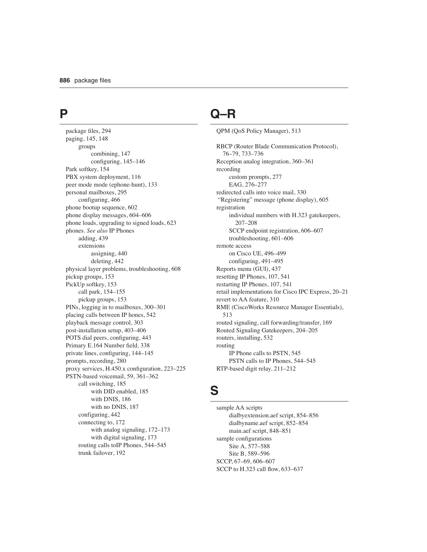### **P**

package files, 294 paging, 145, 148 groups combining, 147 configuring, 145–146 Park softkey, 154 PBX system deployment, 116 peer mode mode (ephone-hunt), 133 personal mailboxes, 295 configuring, 466 phone bootup sequence, 602 phone display messages, 604–606 phone loads, upgrading to signed loads, 623 phones. *See also* IP Phones adding, 439 extensions assigning, 440 deleting, 442 physical layer problems, troubleshooting, 608 pickup groups, 153 PickUp softkey, 153 call park, 154–155 pickup groups, 153 PINs, logging in to mailboxes, 300–301 placing calls between IP hones, 542 playback message control, 303 post-installation setup, 403–406 POTS dial peers, configuring, 443 Primary E.164 Number field, 338 private lines, configuring, 144–145 prompts, recording, 280 proxy services, H.450.x configuration, 223–225 PSTN-based voicemail, 59, 361–362 call switching, 185 with DID enabled, 185 with DNIS, 186 with no DNIS, 187 configuring, 442 connecting to, 172 with analog signaling, 172–173 with digital signaling, 173 routing calls toIP Phones, 544–545 trunk failover, 192

# **Q–R**

QPM (QoS Policy Manager), 513

RBCP (Router Blade Communication Protocol), 76–79, 733–736 Reception analog integration, 360–361 recording custom prompts, 277 EAG, 276–277 redirected calls into voice mail, 330 "Registering" message (phone display), 605 registration individual numbers with H.323 gatekeepers, 207–208 SCCP endpoint registration, 606–607 troubleshooting, 601–606 remote access on Cisco UE, 496–499 configuring, 491–495 Reports menu (GUI), 437 resetting IP Phones, 107, 541 restarting IP Phones, 107, 541 retail implementations for Cisco IPC Express, 20–21 revert to AA feature, 310 RME (CiscoWorks Resource Manager Essentials), 513 routed signaling, call forwarding/transfer, 169 Routed Signaling Gatekeepers, 204–205 routers, installing, 532 routing IP Phone calls to PSTN, 545 PSTN calls to IP Phones, 544–545 RTP-based digit relay, 211–212

### **S**

sample AA scripts dialbyextension.aef script, 854–856 dialbyname.aef script, 852–854 main.aef script, 848–851 sample configurations Site A, 577–588 Site B, 589–596 SCCP, 67–69, 606–607 SCCP to H.323 call flow, 633–637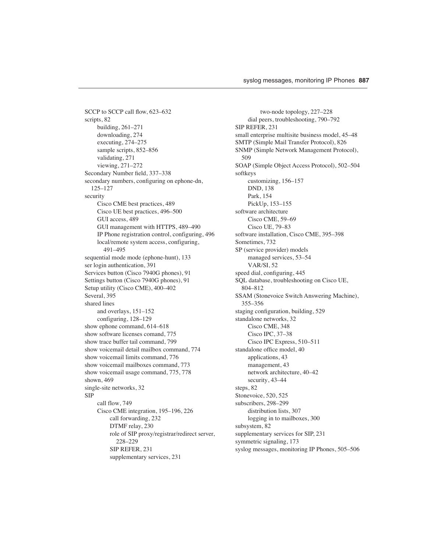SCCP to SCCP call flow, 623–632 scripts, 82 building, 261–271 downloading, 274 executing, 274–275 sample scripts, 852–856 validating, 271 viewing, 271–272 Secondary Number field, 337–338 secondary numbers, configuring on ephone-dn, 125–127 security Cisco CME best practices, 489 Cisco UE best practices, 496–500 GUI access, 489 GUI management with HTTPS, 489–490 IP Phone registration control, configuring, 496 local/remote system access, configuring, 491–495 sequential mode mode (ephone-hunt), 133 ser login authentication, 391 Services button (Cisco 7940G phones), 91 Settings button (Cisco 7940G phones), 91 Setup utility (Cisco CME), 400–402 Several, 395 shared lines and overlays, 151–152 configuring, 128–129 show ephone command, 614–618 show software licenses comand, 775 show trace buffer tail command, 799 show voicemail detail mailbox command, 774 show voicemail limits command, 776 show voicemail mailboxes command, 773 show voicemail usage command, 775, 778 shown, 469 single-site networks, 32 SIP call flow, 749 Cisco CME integration, 195–196, 226 call forwarding, 232 DTMF relay, 230 role of SIP proxy/registrar/redirect server, 228–229 SIP REFER, 231 supplementary services, 231

two-node topology, 227–228 dial peers, troubleshooting, 790–792 SIP REFER, 231 small enterprise multisite business model, 45–48 SMTP (Simple Mail Transfer Protocol), 826 SNMP (Simple Network Management Protocol), 509 SOAP (Simple Object Access Protocol), 502–504 softkeys customizing, 156–157 DND, 138 Park, 154 PickUp, 153–155 software architecture Cisco CME, 59–69 Cisco UE, 79–83 software installation, Cisco CME, 395–398 Sometimes, 732 SP (service provider) models managed services, 53–54 VAR/SI, 52 speed dial, configuring, 445 SQL database, troubleshooting on Cisco UE, 804–812 SSAM (Stonevoice Switch Answering Machine), 355–356 staging configuration, building, 529 standalone networks, 32 Cisco CME, 348 Cisco IPC, 37–38 Cisco IPC Express, 510–511 standalone office model, 40 applications, 43 management, 43 network architecture, 40–42 security, 43–44 steps, 82 Stonevoice, 520, 525 subscribers, 298–299 distribution lists, 307 logging in to mailboxes, 300 subsystem, 82 supplementary services for SIP, 231 symmetric signaling, 173 syslog messages, monitoring IP Phones, 505–506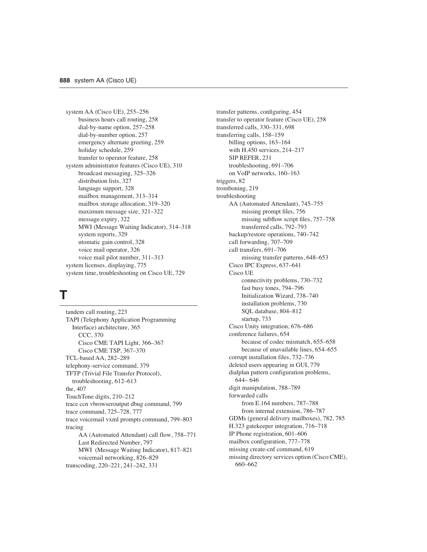system AA (Cisco UE), 255–256 business hours call routing, 258 dial-by-name option, 257–258 dial-by-number option, 257 emergency alternate greeting, 259 holiday schedule, 259 transfer to operator feature, 258 system administrator features (Cisco UE), 310 broadcast messaging, 325–326 distribution lists, 327 language support, 328 mailbox management, 313–314 mailbox storage allocation, 319–320 maximum message size, 321–322 message expiry, 322 MWI (Message Waiting Indicator), 314–318 system reports, 329 utomatic gain control, 328 voice mail operator, 326 voice mail pilot number, 311–313 system licenses, displaying, 775 system time, troubleshooting on Cisco UE, 729

# **T**

tandem call routing, 223 TAPI (Telephony Application Programming Interface) architecture, 365 CCC, 370 Cisco CME TAPI Light, 366–367 Cisco CME TSP, 367–370 TCL-based AA, 282–289 telephony-service command, 379 TFTP (Trivial File Transfer Protocol), troubleshooting, 612–613 the, 407 TouchTone digits, 210–212 trace ccn vbrowseroutput dbug command, 799 trace command, 725–728, 777 trace voicemail vxml prompts command, 799–803 tracing AA (Automated Attendant) call flow, 758–771 Last Redirected Number, 797 MWI (Message Waiting Indicator), 817–821 voicemail networking, 826–829 transcoding, 220–221, 241–242, 331

transfer patterns, configuring, 454 transfer to operator feature (Cisco UE), 258 transferred calls, 330–331, 698 transferring calls, 158–159 billing options, 163–164 with H.450 services, 214–217 SIP REFER, 231 troubleshooting, 691–706 on VoIP networks, 160–163 triggers, 82 tromboning, 219 troubleshooting AA (Automated Attendant), 745–755 missing prompt files, 756 missing subflow script files, 757–758 transferred calls, 792–793 backup/restore operations, 740–742 call forwarding, 707–709 call transfers, 691–706 missing transfer patterns, 648–653 Cisco IPC Express, 637–641 Cisco UE connectivity problems, 730–732 fast busy tones, 794–796 Initialization Wizard, 738–740 installation problems, 730 SQL database, 804–812 startup, 733 Cisco Unity integration, 676–686 conference failures, 654 because of codec mismatch, 655–658 because of unavailable lines, 654–655 corrupt installation files, 732–736 deleted users appearing in GUI, 779 dialplan pattern configuration problems, 644– 646 digit manipulation, 788–789 forwarded calls from E.164 numbers, 787–788 from internal extension, 786–787 GDMs (general delivery mailboxes), 782, 785 H.323 gatekeeper integration, 716–718 IP Phone registration, 601–606 mailbox configuration, 777–778 missing create-cnf command, 619 missing directory services option (Cisco CME), 660–662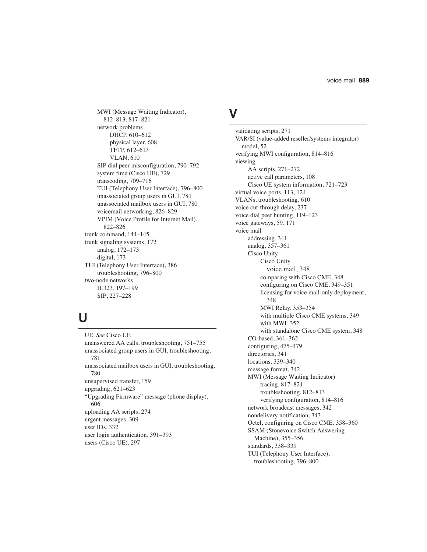MWI (Message Waiting Indicator), 812–813, 817–821 network problems DHCP, 610–612 physical layer, 608 TFTP, 612–613 VLAN, 610 SIP dial peer misconfiguration, 790–792 system time (Cisco UE), 729 transcoding, 709–716 TUI (Telephony User Interface), 796–800 unassociated group users in GUI, 781 unassociated mailbox users in GUI, 780 voicemail networking, 826–829 VPIM (Voice Profile for Internet Mail), 822–826 trunk command, 144–145 trunk signaling systems, 172 analog, 172–173 digital, 173 TUI (Telephony User Interface), 386 troubleshooting, 796–800 two-node networks H.323, 197–199 SIP, 227–228

## **U**

UE. *See* Cisco UE unanswered AA calls, troubleshooting, 751–755 unassociated group users in GUI, troubleshooting, 781 unassociated mailbox users in GUI, troubleshooting, 780 unsupervised transfer, 159 upgrading, 621–623 "Upgrading Firmware" message (phone display), 606 uploading AA scripts, 274 urgent messages, 309 user IDs, 332 user login authentication, 391–393 users (Cisco UE), 297

## **V**

validating scripts, 271 VAR/SI (value-added reseller/systems integrator) model, 52 verifying MWI configuration, 814–816 viewing AA scripts, 271–272 active call parameters, 108 Cisco UE system information, 721–723 virtual voice ports, 113, 124 VLANs, troubleshooting, 610 voice cut-through delay, 237 voice dial peer hunting, 119–123 voice gateways, 59, 171 voice mail addressing, 341 analog, 357–361 Cisco Unity Cisco Unity voice mail, 348 comparing with Cisco CME, 348 configuring on Cisco CME, 349–351 licensing for voice mail-only deployment, 348 MWI Relay, 353–354 with multiple Cisco CME systems, 349 with MWI, 352 with standalone Cisco CME system, 348 CO-based, 361–362 configuring, 475–479 directories, 341 locations, 339–340 message format, 342 MWI (Message Waiting Indicator) tracing, 817–821 troubleshooting, 812–813 verifying configuration, 814–816 network broadcast messages, 342 nondelivery notification, 343 Octel, configuring on Cisco CME, 358–360 SSAM (Stonevoice Switch Answering Machine), 355–356 standards, 338–339 TUI (Telephony User Interface), troubleshooting, 796–800